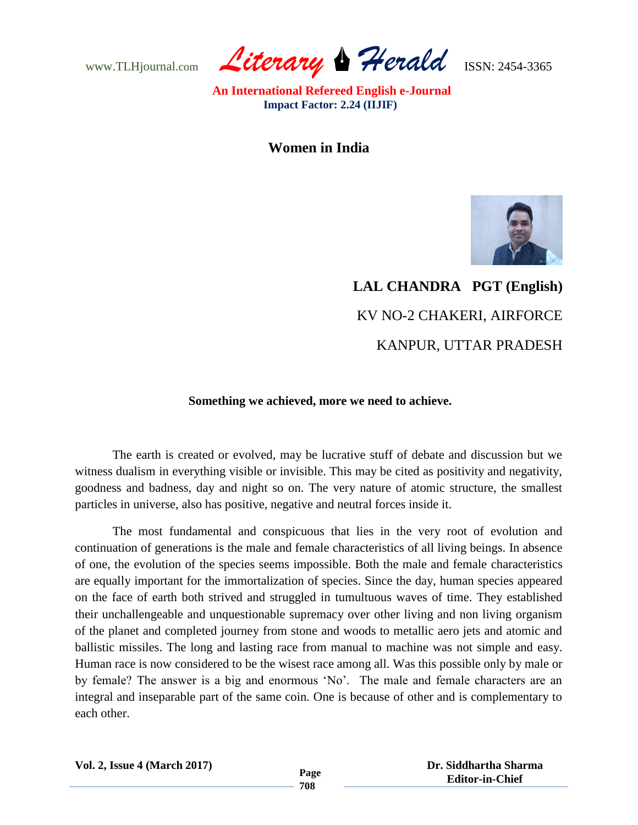www.TLHjournal.com *Literary Herald*ISSN: 2454-3365

**Women in India**



## **LAL CHANDRA PGT (English)** KV NO-2 CHAKERI, AIRFORCE KANPUR, UTTAR PRADESH

## **Something we achieved, more we need to achieve.**

The earth is created or evolved, may be lucrative stuff of debate and discussion but we witness dualism in everything visible or invisible. This may be cited as positivity and negativity, goodness and badness, day and night so on. The very nature of atomic structure, the smallest particles in universe, also has positive, negative and neutral forces inside it.

The most fundamental and conspicuous that lies in the very root of evolution and continuation of generations is the male and female characteristics of all living beings. In absence of one, the evolution of the species seems impossible. Both the male and female characteristics are equally important for the immortalization of species. Since the day, human species appeared on the face of earth both strived and struggled in tumultuous waves of time. They established their unchallengeable and unquestionable supremacy over other living and non living organism of the planet and completed journey from stone and woods to metallic aero jets and atomic and ballistic missiles. The long and lasting race from manual to machine was not simple and easy. Human race is now considered to be the wisest race among all. Was this possible only by male or by female? The answer is a big and enormous "No". The male and female characters are an integral and inseparable part of the same coin. One is because of other and is complementary to each other.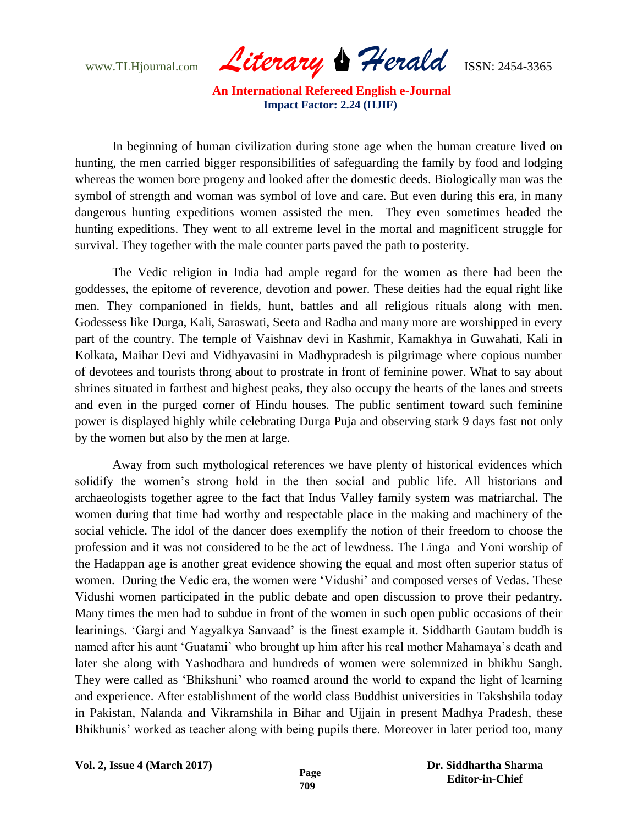www.TLHjournal.com *Literary Herald*ISSN: 2454-3365

In beginning of human civilization during stone age when the human creature lived on hunting, the men carried bigger responsibilities of safeguarding the family by food and lodging whereas the women bore progeny and looked after the domestic deeds. Biologically man was the symbol of strength and woman was symbol of love and care. But even during this era, in many dangerous hunting expeditions women assisted the men. They even sometimes headed the hunting expeditions. They went to all extreme level in the mortal and magnificent struggle for survival. They together with the male counter parts paved the path to posterity.

The Vedic religion in India had ample regard for the women as there had been the goddesses, the epitome of reverence, devotion and power. These deities had the equal right like men. They companioned in fields, hunt, battles and all religious rituals along with men. Godessess like Durga, Kali, Saraswati, Seeta and Radha and many more are worshipped in every part of the country. The temple of Vaishnav devi in Kashmir, Kamakhya in Guwahati, Kali in Kolkata, Maihar Devi and Vidhyavasini in Madhypradesh is pilgrimage where copious number of devotees and tourists throng about to prostrate in front of feminine power. What to say about shrines situated in farthest and highest peaks, they also occupy the hearts of the lanes and streets and even in the purged corner of Hindu houses. The public sentiment toward such feminine power is displayed highly while celebrating Durga Puja and observing stark 9 days fast not only by the women but also by the men at large.

Away from such mythological references we have plenty of historical evidences which solidify the women's strong hold in the then social and public life. All historians and archaeologists together agree to the fact that Indus Valley family system was matriarchal. The women during that time had worthy and respectable place in the making and machinery of the social vehicle. The idol of the dancer does exemplify the notion of their freedom to choose the profession and it was not considered to be the act of lewdness. The Linga and Yoni worship of the Hadappan age is another great evidence showing the equal and most often superior status of women. During the Vedic era, the women were "Vidushi" and composed verses of Vedas. These Vidushi women participated in the public debate and open discussion to prove their pedantry. Many times the men had to subdue in front of the women in such open public occasions of their learinings. 'Gargi and Yagyalkya Sanvaad' is the finest example it. Siddharth Gautam buddh is named after his aunt "Guatami" who brought up him after his real mother Mahamaya"s death and later she along with Yashodhara and hundreds of women were solemnized in bhikhu Sangh. They were called as 'Bhikshuni' who roamed around the world to expand the light of learning and experience. After establishment of the world class Buddhist universities in Takshshila today in Pakistan, Nalanda and Vikramshila in Bihar and Ujjain in present Madhya Pradesh, these Bhikhunis' worked as teacher along with being pupils there. Moreover in later period too, many

**Vol. 2, Issue 4 (March 2017)**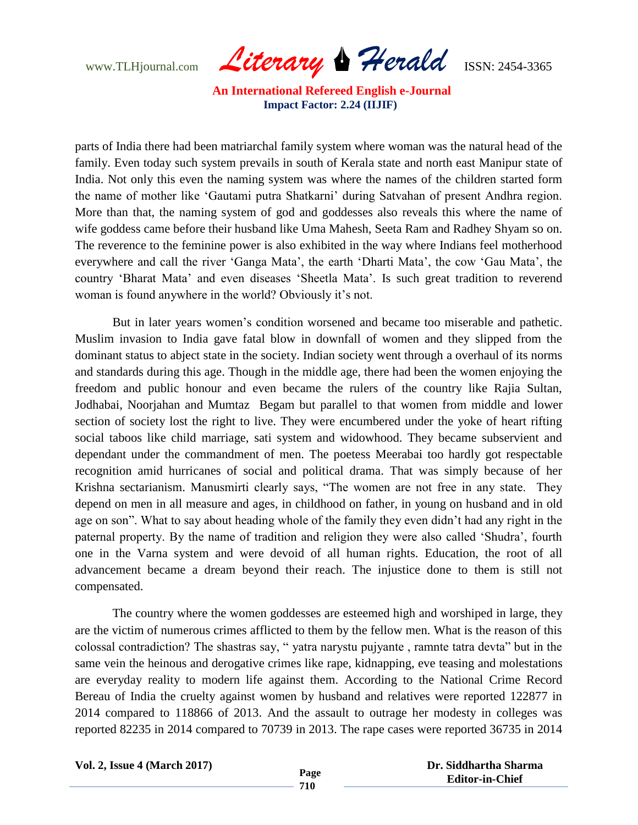www.TLHjournal.com *Literary Herald*ISSN: 2454-3365

parts of India there had been matriarchal family system where woman was the natural head of the family. Even today such system prevails in south of Kerala state and north east Manipur state of India. Not only this even the naming system was where the names of the children started form the name of mother like "Gautami putra Shatkarni" during Satvahan of present Andhra region. More than that, the naming system of god and goddesses also reveals this where the name of wife goddess came before their husband like Uma Mahesh, Seeta Ram and Radhey Shyam so on. The reverence to the feminine power is also exhibited in the way where Indians feel motherhood everywhere and call the river 'Ganga Mata', the earth 'Dharti Mata', the cow 'Gau Mata', the country "Bharat Mata" and even diseases "Sheetla Mata". Is such great tradition to reverend woman is found anywhere in the world? Obviously it's not.

But in later years women"s condition worsened and became too miserable and pathetic. Muslim invasion to India gave fatal blow in downfall of women and they slipped from the dominant status to abject state in the society. Indian society went through a overhaul of its norms and standards during this age. Though in the middle age, there had been the women enjoying the freedom and public honour and even became the rulers of the country like Rajia Sultan, Jodhabai, Noorjahan and Mumtaz Begam but parallel to that women from middle and lower section of society lost the right to live. They were encumbered under the yoke of heart rifting social taboos like child marriage, sati system and widowhood. They became subservient and dependant under the commandment of men. The poetess Meerabai too hardly got respectable recognition amid hurricanes of social and political drama. That was simply because of her Krishna sectarianism. Manusmirti clearly says, "The women are not free in any state. They depend on men in all measure and ages, in childhood on father, in young on husband and in old age on son". What to say about heading whole of the family they even didn"t had any right in the paternal property. By the name of tradition and religion they were also called "Shudra", fourth one in the Varna system and were devoid of all human rights. Education, the root of all advancement became a dream beyond their reach. The injustice done to them is still not compensated.

The country where the women goddesses are esteemed high and worshiped in large, they are the victim of numerous crimes afflicted to them by the fellow men. What is the reason of this colossal contradiction? The shastras say, " yatra narystu pujyante , ramnte tatra devta" but in the same vein the heinous and derogative crimes like rape, kidnapping, eve teasing and molestations are everyday reality to modern life against them. According to the National Crime Record Bereau of India the cruelty against women by husband and relatives were reported 122877 in 2014 compared to 118866 of 2013. And the assault to outrage her modesty in colleges was reported 82235 in 2014 compared to 70739 in 2013. The rape cases were reported 36735 in 2014

**Vol. 2, Issue 4 (March 2017)**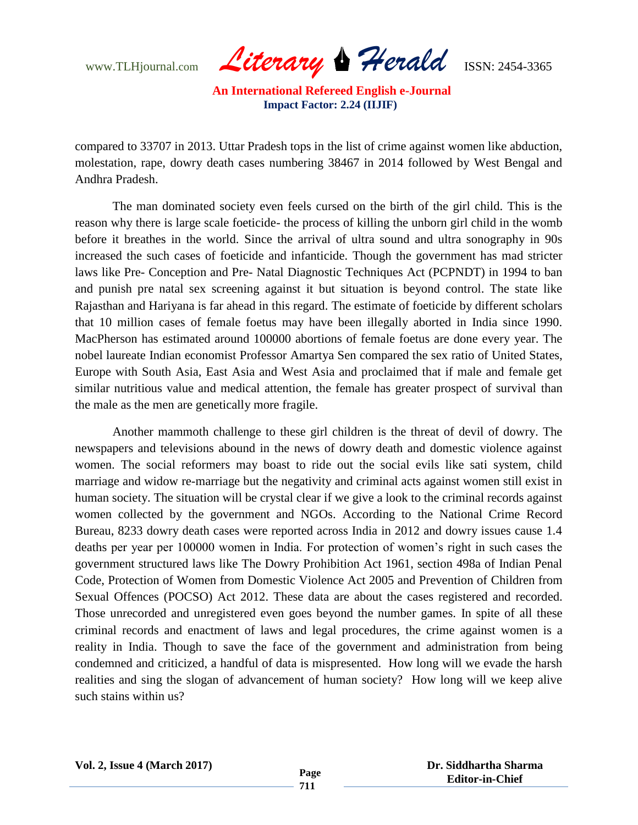www.TLHjournal.com *Literary Herald*ISSN: 2454-3365

compared to 33707 in 2013. Uttar Pradesh tops in the list of crime against women like abduction, molestation, rape, dowry death cases numbering 38467 in 2014 followed by West Bengal and Andhra Pradesh.

The man dominated society even feels cursed on the birth of the girl child. This is the reason why there is large scale foeticide- the process of killing the unborn girl child in the womb before it breathes in the world. Since the arrival of ultra sound and ultra sonography in 90s increased the such cases of foeticide and infanticide. Though the government has mad stricter laws like Pre- Conception and Pre- Natal Diagnostic Techniques Act (PCPNDT) in 1994 to ban and punish pre natal sex screening against it but situation is beyond control. The state like Rajasthan and Hariyana is far ahead in this regard. The estimate of foeticide by different scholars that 10 million cases of female foetus may have been illegally aborted in India since 1990. MacPherson has estimated around 100000 abortions of female foetus are done every year. The nobel laureate Indian economist Professor Amartya Sen compared the sex ratio of United States, Europe with South Asia, East Asia and West Asia and proclaimed that if male and female get similar nutritious value and medical attention, the female has greater prospect of survival than the male as the men are genetically more fragile.

Another mammoth challenge to these girl children is the threat of devil of dowry. The newspapers and televisions abound in the news of dowry death and domestic violence against women. The social reformers may boast to ride out the social evils like sati system, child marriage and widow re-marriage but the negativity and criminal acts against women still exist in human society. The situation will be crystal clear if we give a look to the criminal records against women collected by the government and NGOs. According to the National Crime Record Bureau, 8233 dowry death cases were reported across India in 2012 and dowry issues cause 1.4 deaths per year per 100000 women in India. For protection of women"s right in such cases the government structured laws like The Dowry Prohibition Act 1961, section 498a of Indian Penal Code, Protection of Women from Domestic Violence Act 2005 and Prevention of Children from Sexual Offences (POCSO) Act 2012. These data are about the cases registered and recorded. Those unrecorded and unregistered even goes beyond the number games. In spite of all these criminal records and enactment of laws and legal procedures, the crime against women is a reality in India. Though to save the face of the government and administration from being condemned and criticized, a handful of data is mispresented. How long will we evade the harsh realities and sing the slogan of advancement of human society? How long will we keep alive such stains within us?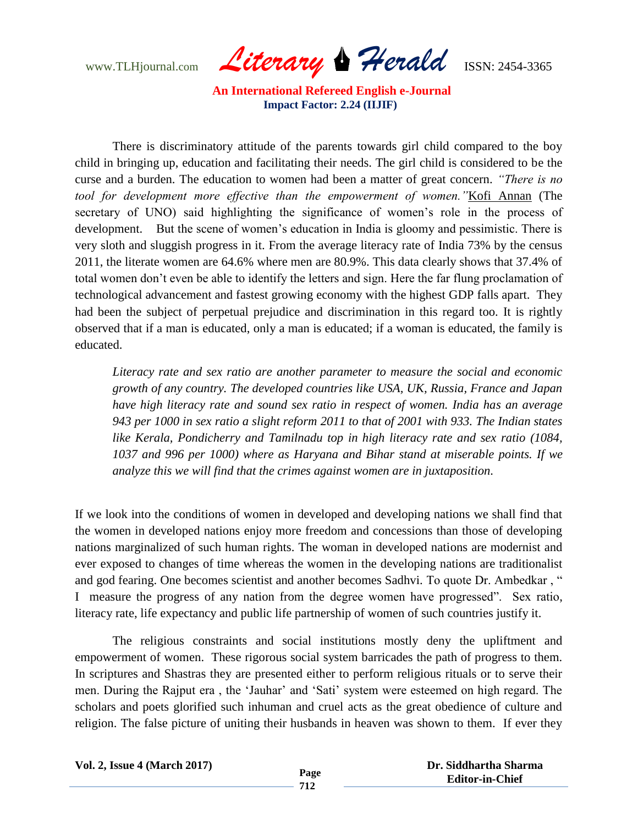www.TLHjournal.com *Literary Herald*ISSN: 2454-3365

There is discriminatory attitude of the parents towards girl child compared to the boy child in bringing up, education and facilitating their needs. The girl child is considered to be the curse and a burden. The education to women had been a matter of great concern. *"There is no tool for development more effective than the empowerment of women."*Kofi Annan (The secretary of UNO) said highlighting the significance of women's role in the process of development. But the scene of women's education in India is gloomy and pessimistic. There is very sloth and sluggish progress in it. From the average literacy rate of India 73% by the census 2011, the literate women are 64.6% where men are 80.9%. This data clearly shows that 37.4% of total women don"t even be able to identify the letters and sign. Here the far flung proclamation of technological advancement and fastest growing economy with the highest GDP falls apart. They had been the subject of perpetual prejudice and discrimination in this regard too. It is rightly observed that if a man is educated, only a man is educated; if a woman is educated, the family is educated.

*Literacy rate and sex ratio are another parameter to measure the social and economic growth of any country. The developed countries like USA, UK, Russia, France and Japan have high literacy rate and sound sex ratio in respect of women. India has an average 943 per 1000 in sex ratio a slight reform 2011 to that of 2001 with 933. The Indian states like Kerala, Pondicherry and Tamilnadu top in high literacy rate and sex ratio (1084, 1037 and 996 per 1000) where as Haryana and Bihar stand at miserable points. If we analyze this we will find that the crimes against women are in juxtaposition.*

If we look into the conditions of women in developed and developing nations we shall find that the women in developed nations enjoy more freedom and concessions than those of developing nations marginalized of such human rights. The woman in developed nations are modernist and ever exposed to changes of time whereas the women in the developing nations are traditionalist and god fearing. One becomes scientist and another becomes Sadhvi. To quote Dr. Ambedkar , " I measure the progress of any nation from the degree women have progressed". Sex ratio, literacy rate, life expectancy and public life partnership of women of such countries justify it.

The religious constraints and social institutions mostly deny the upliftment and empowerment of women. These rigorous social system barricades the path of progress to them. In scriptures and Shastras they are presented either to perform religious rituals or to serve their men. During the Rajput era , the "Jauhar" and "Sati" system were esteemed on high regard. The scholars and poets glorified such inhuman and cruel acts as the great obedience of culture and religion. The false picture of uniting their husbands in heaven was shown to them. If ever they

| <b>Vol. 2, Issue 4 (March 2017)</b> |  |
|-------------------------------------|--|
|                                     |  |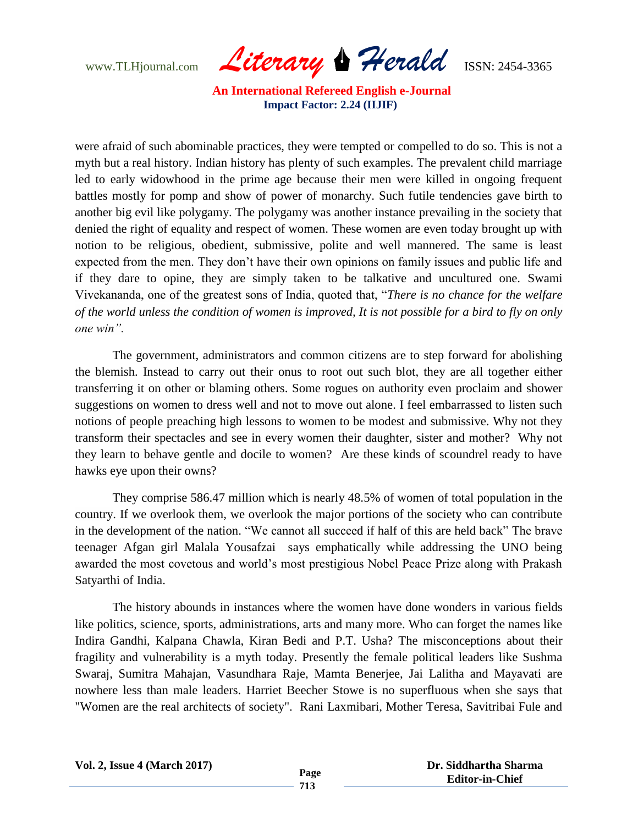www.TLHjournal.com *Literary Herald*ISSN: 2454-3365

were afraid of such abominable practices, they were tempted or compelled to do so. This is not a myth but a real history. Indian history has plenty of such examples. The prevalent child marriage led to early widowhood in the prime age because their men were killed in ongoing frequent battles mostly for pomp and show of power of monarchy. Such futile tendencies gave birth to another big evil like polygamy. The polygamy was another instance prevailing in the society that denied the right of equality and respect of women. These women are even today brought up with notion to be religious, obedient, submissive, polite and well mannered. The same is least expected from the men. They don"t have their own opinions on family issues and public life and if they dare to opine, they are simply taken to be talkative and uncultured one. Swami Vivekananda, one of the greatest sons of India, quoted that, "*There is no chance for the welfare of the world unless the condition of women is improved, It is not possible for a bird to fly on only one win".*

The government, administrators and common citizens are to step forward for abolishing the blemish. Instead to carry out their onus to root out such blot, they are all together either transferring it on other or blaming others. Some rogues on authority even proclaim and shower suggestions on women to dress well and not to move out alone. I feel embarrassed to listen such notions of people preaching high lessons to women to be modest and submissive. Why not they transform their spectacles and see in every women their daughter, sister and mother? Why not they learn to behave gentle and docile to women? Are these kinds of scoundrel ready to have hawks eye upon their owns?

They comprise 586.47 million which is nearly 48.5% of women of total population in the country. If we overlook them, we overlook the major portions of the society who can contribute in the development of the nation. "We cannot all succeed if half of this are held back" The brave teenager Afgan girl Malala Yousafzai says emphatically while addressing the UNO being awarded the most covetous and world"s most prestigious Nobel Peace Prize along with Prakash Satyarthi of India.

The history abounds in instances where the women have done wonders in various fields like politics, science, sports, administrations, arts and many more. Who can forget the names like Indira Gandhi, Kalpana Chawla, Kiran Bedi and P.T. Usha? The misconceptions about their fragility and vulnerability is a myth today. Presently the female political leaders like Sushma Swaraj, Sumitra Mahajan, Vasundhara Raje, Mamta Benerjee, Jai Lalitha and Mayavati are nowhere less than male leaders. Harriet Beecher Stowe is no superfluous when she says that "Women are the real architects of society". Rani Laxmibari, Mother Teresa, Savitribai Fule and

| <b>Vol. 2, Issue 4 (March 2017)</b> |
|-------------------------------------|
|-------------------------------------|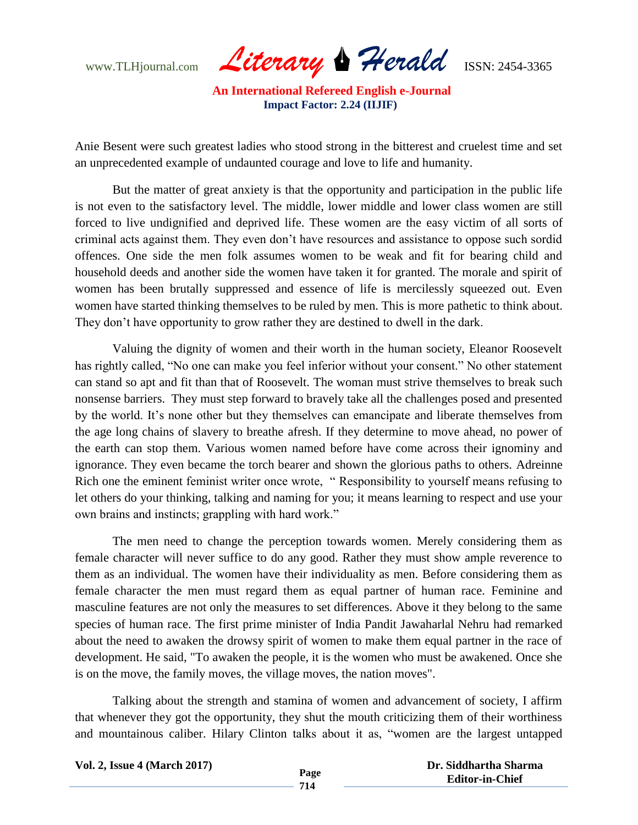www.TLHjournal.com *Literary Herald*ISSN: 2454-3365

Anie Besent were such greatest ladies who stood strong in the bitterest and cruelest time and set an unprecedented example of undaunted courage and love to life and humanity.

But the matter of great anxiety is that the opportunity and participation in the public life is not even to the satisfactory level. The middle, lower middle and lower class women are still forced to live undignified and deprived life. These women are the easy victim of all sorts of criminal acts against them. They even don"t have resources and assistance to oppose such sordid offences. One side the men folk assumes women to be weak and fit for bearing child and household deeds and another side the women have taken it for granted. The morale and spirit of women has been brutally suppressed and essence of life is mercilessly squeezed out. Even women have started thinking themselves to be ruled by men. This is more pathetic to think about. They don"t have opportunity to grow rather they are destined to dwell in the dark.

Valuing the dignity of women and their worth in the human society, Eleanor Roosevelt has rightly called, "No one can make you feel inferior without your consent." No other statement can stand so apt and fit than that of Roosevelt. The woman must strive themselves to break such nonsense barriers. They must step forward to bravely take all the challenges posed and presented by the world. It"s none other but they themselves can emancipate and liberate themselves from the age long chains of slavery to breathe afresh. If they determine to move ahead, no power of the earth can stop them. Various women named before have come across their ignominy and ignorance. They even became the torch bearer and shown the glorious paths to others. Adreinne Rich one the eminent feminist writer once wrote, " Responsibility to yourself means refusing to let others do your thinking, talking and naming for you; it means learning to respect and use your own brains and instincts; grappling with hard work."

The men need to change the perception towards women. Merely considering them as female character will never suffice to do any good. Rather they must show ample reverence to them as an individual. The women have their individuality as men. Before considering them as female character the men must regard them as equal partner of human race. Feminine and masculine features are not only the measures to set differences. Above it they belong to the same species of human race. The first prime minister of India Pandit Jawaharlal Nehru had remarked about the need to awaken the drowsy spirit of women to make them equal partner in the race of development. He said, "To awaken the people, it is the women who must be awakened. Once she is on the move, the family moves, the village moves, the nation moves".

Talking about the strength and stamina of women and advancement of society, I affirm that whenever they got the opportunity, they shut the mouth criticizing them of their worthiness and mountainous caliber. Hilary Clinton talks about it as, "women are the largest untapped

| <b>Vol. 2, Issue 4 (March 2017)</b> |      | Dr. Siddhartha Sharma  |
|-------------------------------------|------|------------------------|
|                                     | Page | <b>Editor-in-Chief</b> |
|                                     | 714  |                        |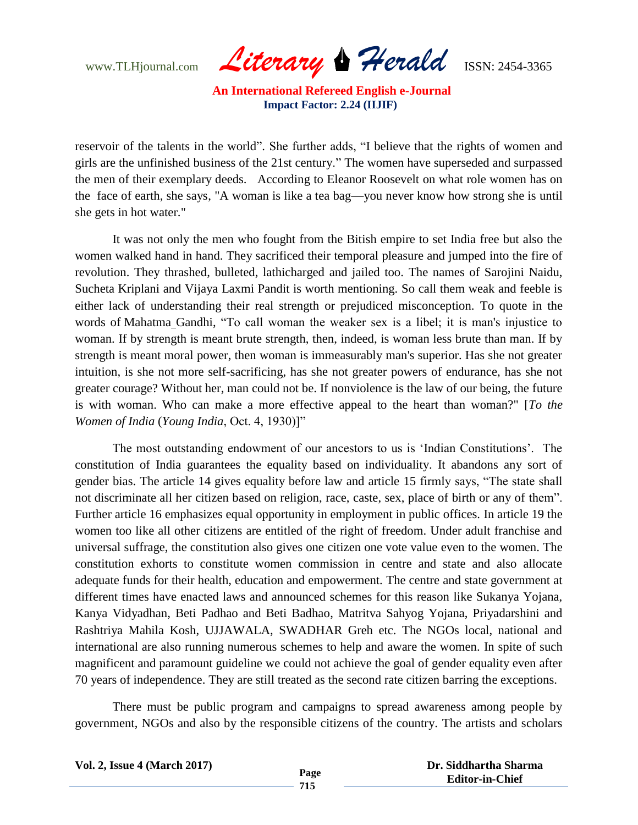www.TLHjournal.com *Literary Herald*ISSN: 2454-3365

reservoir of the talents in the world". She further adds, "I believe that the rights of women and girls are the unfinished business of the 21st century." The women have superseded and surpassed the men of their exemplary deeds. According to Eleanor Roosevelt on what role women has on the face of earth, she says, "A woman is like a tea bag—you never know how strong she is until she gets in hot water."

It was not only the men who fought from the Bitish empire to set India free but also the women walked hand in hand. They sacrificed their temporal pleasure and jumped into the fire of revolution. They thrashed, bulleted, lathicharged and jailed too. The names of Sarojini Naidu, Sucheta Kriplani and Vijaya Laxmi Pandit is worth mentioning. So call them weak and feeble is either lack of understanding their real strength or prejudiced misconception. To quote in the words of Mahatma Gandhi, "To call woman the weaker sex is a libel; it is man's injustice to woman. If by strength is meant brute strength, then, indeed, is woman less brute than man. If by strength is meant moral power, then woman is immeasurably man's superior. Has she not greater intuition, is she not more self-sacrificing, has she not greater powers of endurance, has she not greater courage? Without her, man could not be. If nonviolence is the law of our being, the future is with woman. Who can make a more effective appeal to the heart than woman?" [*To the Women of India* (*Young India*, Oct. 4, 1930)]"

The most outstanding endowment of our ancestors to us is "Indian Constitutions". The constitution of India guarantees the equality based on individuality. It abandons any sort of gender bias. The article 14 gives equality before law and article 15 firmly says, "The state shall not discriminate all her citizen based on religion, race, caste, sex, place of birth or any of them". Further article 16 emphasizes equal opportunity in employment in public offices. In article 19 the women too like all other citizens are entitled of the right of freedom. Under adult franchise and universal suffrage, the constitution also gives one citizen one vote value even to the women. The constitution exhorts to constitute women commission in centre and state and also allocate adequate funds for their health, education and empowerment. The centre and state government at different times have enacted laws and announced schemes for this reason like Sukanya Yojana, Kanya Vidyadhan, Beti Padhao and Beti Badhao, Matritva Sahyog Yojana, Priyadarshini and Rashtriya Mahila Kosh, UJJAWALA, SWADHAR Greh etc. The NGOs local, national and international are also running numerous schemes to help and aware the women. In spite of such magnificent and paramount guideline we could not achieve the goal of gender equality even after 70 years of independence. They are still treated as the second rate citizen barring the exceptions.

There must be public program and campaigns to spread awareness among people by government, NGOs and also by the responsible citizens of the country. The artists and scholars

| <b>Vol. 2, Issue 4 (March 2017)</b> |      | Dr. Siddhartha Sharma  |
|-------------------------------------|------|------------------------|
|                                     | Page | <b>Editor-in-Chief</b> |
|                                     |      |                        |